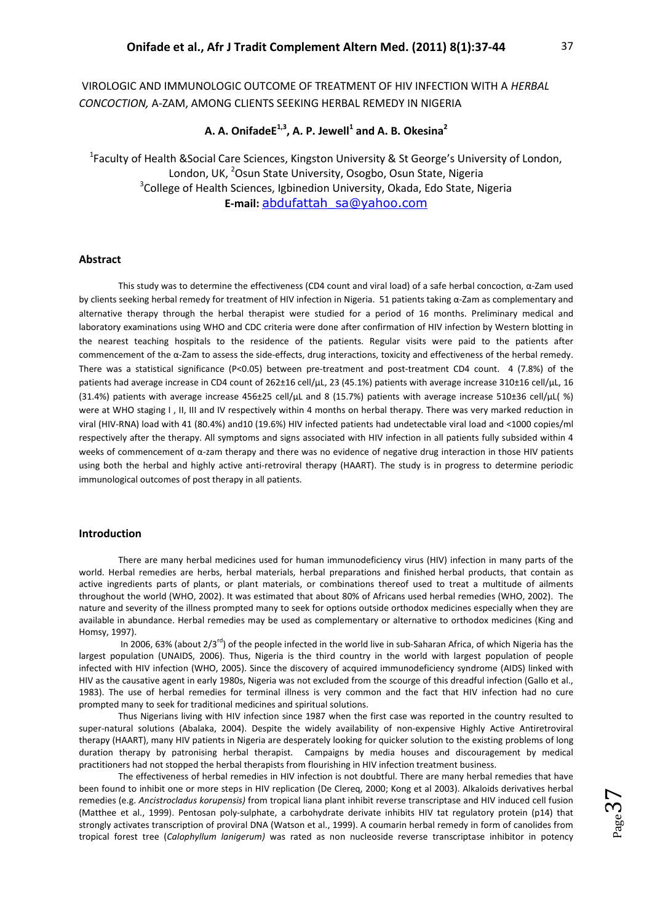# VIROLOGIC AND IMMUNOLOGIC OUTCOME OF TREATMENT OF HIV INFECTION WITH A *HERBAL CONCOCTION,* Α-ZAM, AMONG CLIENTS SEEKING HERBAL REMEDY IN NIGERIA

## **A. A. OnifadeE1,3, A. P. Jewell<sup>1</sup> and A. B. Okesina<sup>2</sup>**

<sup>1</sup>Faculty of Health &Social Care Sciences, Kingston University & St George's University of London, London, UK, <sup>2</sup>Osun State University, Osogbo, Osun State, Nigeria <sup>3</sup>College of Health Sciences, Igbinedion University, Okada, Edo State, Nigeria **E-mail:** abdufattah\_sa@yahoo.com

## **Abstract**

This study was to determine the effectiveness (CD4 count and viral load) of a safe herbal concoction, α-Zam used by clients seeking herbal remedy for treatment of HIV infection in Nigeria. 51 patients taking α-Zam as complementary and alternative therapy through the herbal therapist were studied for a period of 16 months. Preliminary medical and laboratory examinations using WHO and CDC criteria were done after confirmation of HIV infection by Western blotting in the nearest teaching hospitals to the residence of the patients. Regular visits were paid to the patients after commencement of the α-Zam to assess the side-effects, drug interactions, toxicity and effectiveness of the herbal remedy. There was a statistical significance (P<0.05) between pre-treatment and post-treatment CD4 count. 4 (7.8%) of the patients had average increase in CD4 count of 262±16 cell/µL, 23 (45.1%) patients with average increase 310±16 cell/µL, 16 (31.4%) patients with average increase 456±25 cell/µL and 8 (15.7%) patients with average increase 510±36 cell/µL( %) were at WHO staging I , II, III and IV respectively within 4 months on herbal therapy. There was very marked reduction in viral (HIV-RNA) load with 41 (80.4%) and10 (19.6%) HIV infected patients had undetectable viral load and <1000 copies/ml respectively after the therapy. All symptoms and signs associated with HIV infection in all patients fully subsided within 4 weeks of commencement of  $\alpha$ -zam therapy and there was no evidence of negative drug interaction in those HIV patients using both the herbal and highly active anti-retroviral therapy (HAART). The study is in progress to determine periodic immunological outcomes of post therapy in all patients.

## **Introduction**

There are many herbal medicines used for human immunodeficiency virus (HIV) infection in many parts of the world. Herbal remedies are herbs, herbal materials, herbal preparations and finished herbal products, that contain as active ingredients parts of plants, or plant materials, or combinations thereof used to treat a multitude of ailments throughout the world (WHO, 2002). It was estimated that about 80% of Africans used herbal remedies (WHO, 2002). The nature and severity of the illness prompted many to seek for options outside orthodox medicines especially when they are available in abundance. Herbal remedies may be used as complementary or alternative to orthodox medicines (King and Homsy, 1997).

In 2006, 63% (about  $2/3^{rd}$ ) of the people infected in the world live in sub-Saharan Africa, of which Nigeria has the largest population (UNAIDS, 2006). Thus, Nigeria is the third country in the world with largest population of people infected with HIV infection (WHO, 2005). Since the discovery of acquired immunodeficiency syndrome (AIDS) linked with HIV as the causative agent in early 1980s, Nigeria was not excluded from the scourge of this dreadful infection (Gallo et al., 1983). The use of herbal remedies for terminal illness is very common and the fact that HIV infection had no cure prompted many to seek for traditional medicines and spiritual solutions.

Thus Nigerians living with HIV infection since 1987 when the first case was reported in the country resulted to super-natural solutions (Abalaka, 2004). Despite the widely availability of non-expensive Highly Active Antiretroviral therapy (HAART), many HIV patients in Nigeria are desperately looking for quicker solution to the existing problems of long duration therapy by patronising herbal therapist. Campaigns by media houses and discouragement by medical practitioners had not stopped the herbal therapists from flourishing in HIV infection treatment business.

The effectiveness of herbal remedies in HIV infection is not doubtful. There are many herbal remedies that have been found to inhibit one or more steps in HIV replication (De Clereq, 2000; Kong et al 2003). Alkaloids derivatives herbal remedies (e.g. *Ancistrocladus korupensis)* from tropical liana plant inhibit reverse transcriptase and HIV induced cell fusion (Matthee et al., 1999). Pentosan poly-sulphate, a carbohydrate derivate inhibits HIV tat regulatory protein (p14) that strongly activates transcription of proviral DNA (Watson et al., 1999). A coumarin herbal remedy in form of canolides from tropical forest tree (*Calophyllum lanigerum)* was rated as non nucleoside reverse transcriptase inhibitor in potency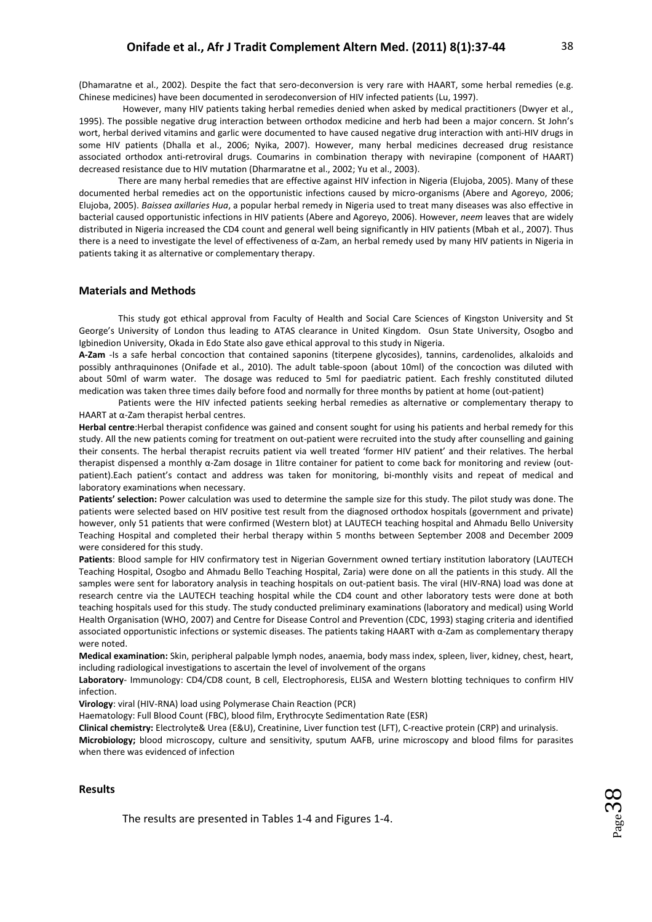(Dhamaratne et al., 2002)*.* Despite the fact that sero-deconversion is very rare with HAART, some herbal remedies (e.g. Chinese medicines) have been documented in serodeconversion of HIV infected patients (Lu, 1997).

However, many HIV patients taking herbal remedies denied when asked by medical practitioners (Dwyer et al., 1995). The possible negative drug interaction between orthodox medicine and herb had been a major concern. St John's wort, herbal derived vitamins and garlic were documented to have caused negative drug interaction with anti-HIV drugs in some HIV patients (Dhalla et al., 2006; Nyika, 2007). However, many herbal medicines decreased drug resistance associated orthodox anti-retroviral drugs. Coumarins in combination therapy with nevirapine (component of HAART) decreased resistance due to HIV mutation (Dharmaratne et al., 2002; Yu et al., 2003).

There are many herbal remedies that are effective against HIV infection in Nigeria (Elujoba, 2005). Many of these documented herbal remedies act on the opportunistic infections caused by micro-organisms (Abere and Agoreyo, 2006; Elujoba, 2005). *Baissea axillaries Hua*, a popular herbal remedy in Nigeria used to treat many diseases was also effective in bacterial caused opportunistic infections in HIV patients (Abere and Agoreyo, 2006). However, *neem* leaves that are widely distributed in Nigeria increased the CD4 count and general well being significantly in HIV patients (Mbah et al., 2007). Thus there is a need to investigate the level of effectiveness of α-Zam, an herbal remedy used by many HIV patients in Nigeria in patients taking it as alternative or complementary therapy.

#### **Materials and Methods**

This study got ethical approval from Faculty of Health and Social Care Sciences of Kingston University and St George's University of London thus leading to ATAS clearance in United Kingdom. Osun State University, Osogbo and Igbinedion University, Okada in Edo State also gave ethical approval to this study in Nigeria.

**Α-Zam** -Is a safe herbal concoction that contained saponins (titerpene glycosides), tannins, cardenolides, alkaloids and possibly anthraquinones (Onifade et al., 2010). The adult table-spoon (about 10ml) of the concoction was diluted with about 50ml of warm water. The dosage was reduced to 5ml for paediatric patient. Each freshly constituted diluted medication was taken three times daily before food and normally for three months by patient at home (out-patient)

Patients were the HIV infected patients seeking herbal remedies as alternative or complementary therapy to HAART at α-Zam therapist herbal centres.

**Herbal centre**:Herbal therapist confidence was gained and consent sought for using his patients and herbal remedy for this study. All the new patients coming for treatment on out-patient were recruited into the study after counselling and gaining their consents. The herbal therapist recruits patient via well treated 'former HIV patient' and their relatives. The herbal therapist dispensed a monthly α-Zam dosage in 1litre container for patient to come back for monitoring and review (outpatient).Each patient's contact and address was taken for monitoring, bi-monthly visits and repeat of medical and laboratory examinations when necessary.

**Patients' selection:** Power calculation was used to determine the sample size for this study. The pilot study was done. The patients were selected based on HIV positive test result from the diagnosed orthodox hospitals (government and private) however, only 51 patients that were confirmed (Western blot) at LAUTECH teaching hospital and Ahmadu Bello University Teaching Hospital and completed their herbal therapy within 5 months between September 2008 and December 2009 were considered for this study.

**Patients**: Blood sample for HIV confirmatory test in Nigerian Government owned tertiary institution laboratory (LAUTECH Teaching Hospital, Osogbo and Ahmadu Bello Teaching Hospital, Zaria) were done on all the patients in this study. All the samples were sent for laboratory analysis in teaching hospitals on out-patient basis. The viral (HIV-RNA) load was done at research centre via the LAUTECH teaching hospital while the CD4 count and other laboratory tests were done at both teaching hospitals used for this study. The study conducted preliminary examinations (laboratory and medical) using World Health Organisation (WHO, 2007) and Centre for Disease Control and Prevention (CDC, 1993) staging criteria and identified associated opportunistic infections or systemic diseases. The patients taking HAART with α-Zam as complementary therapy were noted.

**Medical examination:** Skin, peripheral palpable lymph nodes, anaemia, body mass index, spleen, liver, kidney, chest, heart, including radiological investigations to ascertain the level of involvement of the organs

**Laboratory**- Immunology: CD4/CD8 count, B cell, Electrophoresis, ELISA and Western blotting techniques to confirm HIV infection.

**Virology**: viral (HIV-RNA) load using Polymerase Chain Reaction (PCR)

Haematology: Full Blood Count (FBC), blood film, Erythrocyte Sedimentation Rate (ESR)

**Clinical chemistry:** Electrolyte& Urea (E&U), Creatinine, Liver function test (LFT), C-reactive protein (CRP) and urinalysis. **Microbiology;** blood microscopy, culture and sensitivity, sputum AAFB, urine microscopy and blood films for parasites when there was evidenced of infection

#### **Results**

The results are presented in Tables 1-4 and Figures 1-4.

 $\mathsf{p}\,$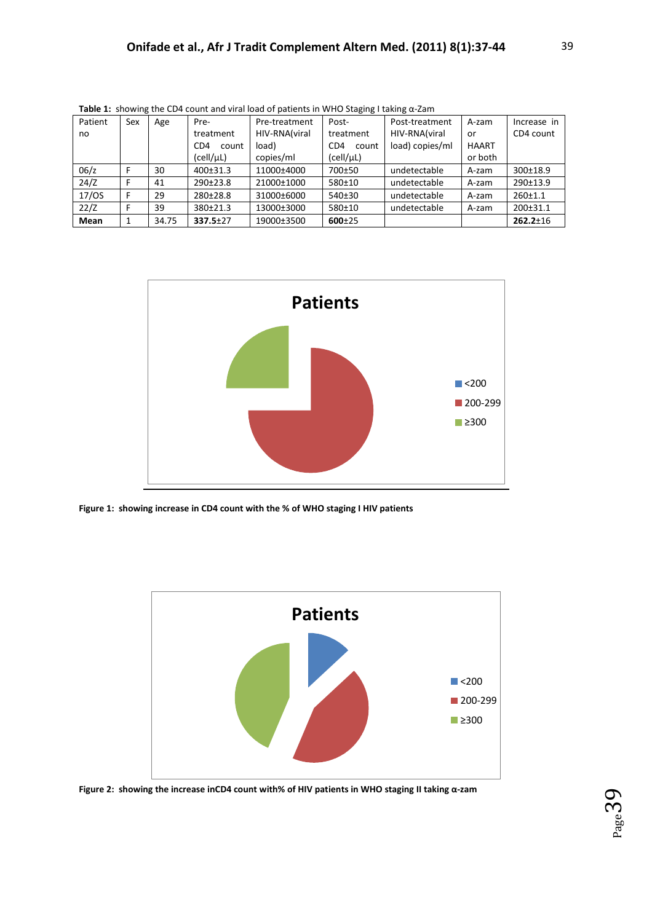| Patient | Sex | Age   | Pre-                     | Pre-treatment | Post-                    | Post-treatment  | A-zam        | Increase in    |
|---------|-----|-------|--------------------------|---------------|--------------------------|-----------------|--------------|----------------|
| no      |     |       | treatment                | HIV-RNA(viral | treatment                | HIV-RNA(viral   | or           | CD4 count      |
|         |     |       | CD <sub>4</sub><br>count | load)         | CD <sub>4</sub><br>count | load) copies/ml | <b>HAART</b> |                |
|         |     |       | (cell/µL)                | copies/ml     | (cell/µL)                |                 | or both      |                |
| 06/z    |     | 30    | 400±31.3                 | 11000±4000    | 700±50                   | undetectable    | A-zam        | 300±18.9       |
| 24/Z    |     | 41    | 290±23.8                 | 21000±1000    | 580±10                   | undetectable    | A-zam        | 290±13.9       |
| 17/OS   | F   | 29    | $280+28.8$               | 31000±6000    | $540+30$                 | undetectable    | A-zam        | $260+1.1$      |
| 22/Z    |     | 39    | $380+21.3$               | 13000±3000    | 580±10                   | undetectable    | A-zam        | $200+31.1$     |
| Mean    | 1   | 34.75 | $337.5 + 27$             | 19000±3500    | $600 + 25$               |                 |              | $262.2 \pm 16$ |

**Table 1:** showing the CD4 count and viral load of patients in WHO Staging I taking α-Zam



**Figure 1: showing increase in CD4 count with the % of WHO staging I HIV patients**



**Figure 2: showing the increase inCD4 count with% of HIV patients in WHO staging II taking α-zam**

 $_{\rm Page}$ 3  $\sigma$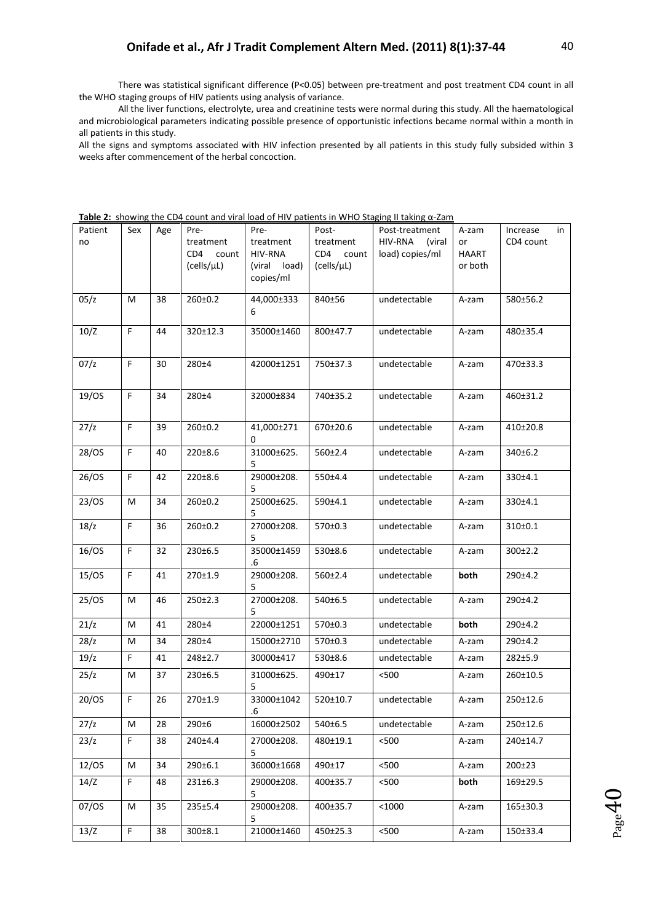There was statistical significant difference (P<0.05) between pre-treatment and post treatment CD4 count in all the WHO staging groups of HIV patients using analysis of variance.

All the liver functions, electrolyte, urea and creatinine tests were normal during this study. All the haematological and microbiological parameters indicating possible presence of opportunistic infections became normal within a month in all patients in this study.

All the signs and symptoms associated with HIV infection presented by all patients in this study fully subsided within 3 weeks after commencement of the herbal concoction.

| Patient | Sex         | Age | Pre-          | Pre-            | Post-         | Post-treatment    | A-zam        | Increase<br>in |
|---------|-------------|-----|---------------|-----------------|---------------|-------------------|--------------|----------------|
| no      |             |     | treatment     | treatment       | treatment     | HIV-RNA<br>(viral | or           | CD4 count      |
|         |             |     | CD4<br>count  | HIV-RNA         | CD4<br>count  | load) copies/ml   | <b>HAART</b> |                |
|         |             |     | (cells/µL)    | (viral load)    | (cells/µL)    |                   | or both      |                |
|         |             |     |               | copies/ml       |               |                   |              |                |
| 05/z    | M           | 38  | $260 \pm 0.2$ | 44,000±333      | 840±56        | undetectable      | A-zam        | 580±56.2       |
|         |             |     |               | 6               |               |                   |              |                |
| 10/Z    | $\mathsf F$ | 44  | 320±12.3      | 35000±1460      | 800±47.7      | undetectable      | A-zam        | 480±35.4       |
|         |             |     |               |                 |               |                   |              |                |
| 07/z    | F           | 30  | 280±4         | 42000±1251      | 750±37.3      | undetectable      | A-zam        | 470±33.3       |
|         |             |     |               |                 |               |                   |              |                |
|         |             |     |               |                 |               |                   |              |                |
| 19/0S   | F           | 34  | 280±4         | 32000±834       | 740±35.2      | undetectable      | A-zam        | 460±31.2       |
|         |             |     |               |                 |               |                   |              |                |
| 27/z    | $\mathsf F$ | 39  | $260 \pm 0.2$ | 41,000±271      | 670±20.6      | undetectable      | A-zam        | 410±20.8       |
| 28/OS   | $\mathsf F$ | 40  | 220±8.6       | 0<br>31000±625. | 560±2.4       | undetectable      | A-zam        | 340±6.2        |
|         |             |     |               | 5               |               |                   |              |                |
| 26/OS   | F           | 42  | 220±8.6       | 29000±208.      | 550±4.4       | undetectable      | A-zam        | 330±4.1        |
|         |             |     |               | 5               |               |                   |              |                |
| 23/OS   | M           | 34  | $260 \pm 0.2$ | 25000±625.      | 590±4.1       | undetectable      | A-zam        | 330±4.1        |
| 18/z    | F           | 36  | $260 \pm 0.2$ | 5<br>27000±208. | 570±0.3       | undetectable      | A-zam        | 310±0.1        |
|         |             |     |               | 5               |               |                   |              |                |
| 16/OS   | F           | 32  | 230±6.5       | 35000±1459      | 530±8.6       | undetectable      | A-zam        | $300 \pm 2.2$  |
|         |             |     |               | .6              |               |                   |              |                |
| 15/OS   | F           | 41  | 270±1.9       | 29000±208.<br>5 | $560 \pm 2.4$ | undetectable      | both         | 290±4.2        |
| 25/OS   | M           | 46  | 250±2.3       | 27000±208.      | 540±6.5       | undetectable      | A-zam        | 290±4.2        |
|         |             |     |               | 5               |               |                   |              |                |
| 21/z    | M           | 41  | 280±4         | 22000±1251      | 570±0.3       | undetectable      | both         | 290±4.2        |
| 28/z    | M           | 34  | 280±4         | 15000±2710      | 570±0.3       | undetectable      | A-zam        | 290±4.2        |
| 19/z    | F           | 41  | 248±2.7       | 30000±417       | 530±8.6       | undetectable      | A-zam        | 282±5.9        |
| 25/z    | M           | 37  | 230±6.5       | 31000±625.      | 490±17        | < 500             | A-zam        | 260±10.5       |
|         |             |     |               | 5               |               |                   |              |                |
| 20/OS   | F           | 26  | 270±1.9       | 33000±1042      | 520±10.7      | undetectable      | A-zam        | 250±12.6       |
|         |             |     |               | .6              |               |                   |              |                |
| 27/z    | M           | 28  | 290±6         | 16000±2502      | 540±6.5       | undetectable      | A-zam        | 250±12.6       |
| 23/z    | F.          | 38  | 240±4.4       | 27000±208.      | 480±19.1      | < 500             | A-zam        | 240±14.7       |
| 12/OS   | M           | 34  | 290±6.1       | 5<br>36000±1668 | 490±17        | $500$             | A-zam        | 200±23         |
| 14/Z    | F           | 48  | 231±6.3       | 29000±208.      | 400±35.7      | < 500             | both         | 169±29.5       |
|         |             |     |               | 5               |               |                   |              |                |
| 07/0S   | M           | 35  | 235±5.4       | 29000±208.      | 400±35.7      | $<$ 1000          | A-zam        | 165±30.3       |
|         |             |     |               | 5               |               |                   |              |                |
| 13/Z    | F           | 38  | $300 \pm 8.1$ | 21000±1460      | 450±25.3      | $500$             | A-zam        | 150±33.4       |

**Table 2:** showing the CD4 count and viral load of HIV patients in WHO Staging II taking α-Zam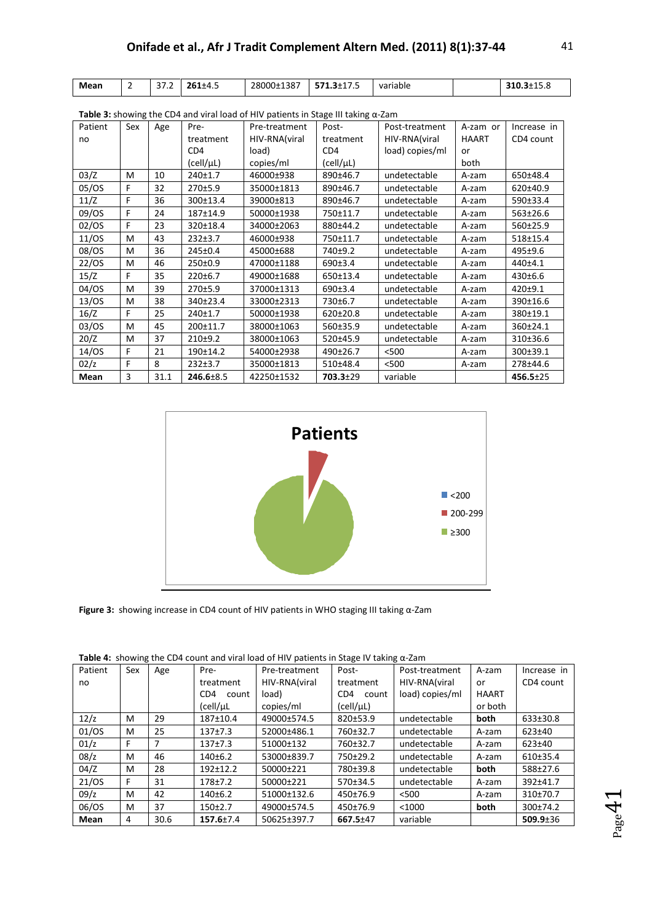| Mean | - | $\sim$ $\sim$<br>31.Z | $261 + 4.5$ | 28000±1387 | $5712+175$<br>571<br>, 1.911, 7 | variable | <b>340</b><br>$-1.4F -$<br>310.3±15.8 |
|------|---|-----------------------|-------------|------------|---------------------------------|----------|---------------------------------------|

| <b>Table 3.</b> Showing the CD4 and viral load of this patients in Stage in taking d-Zani |     |      |                 |               |                 |                 |              |                |
|-------------------------------------------------------------------------------------------|-----|------|-----------------|---------------|-----------------|-----------------|--------------|----------------|
| Patient                                                                                   | Sex | Age  | Pre-            | Pre-treatment | Post-           | Post-treatment  | A-zam or     | Increase in    |
| no                                                                                        |     |      | treatment       | HIV-RNA(viral | treatment       | HIV-RNA(viral   | <b>HAART</b> | CD4 count      |
|                                                                                           |     |      | CD <sub>4</sub> | load)         | CD <sub>4</sub> | load) copies/ml | or           |                |
|                                                                                           |     |      | (cell/µL)       | copies/ml     | (cell/µL)       |                 | both         |                |
| 03/Z                                                                                      | M   | 10   | 240±1.7         | 46000±938     | 890±46.7        | undetectable    | A-zam        | 650±48.4       |
| 05/OS                                                                                     | F   | 32   | 270±5.9         | 35000±1813    | 890±46.7        | undetectable    | A-zam        | 620±40.9       |
| 11/Z                                                                                      | F   | 36   | 300±13.4        | 39000±813     | 890±46.7        | undetectable    | A-zam        | 590±33.4       |
| 09/0S                                                                                     | F   | 24   | 187±14.9        | 50000±1938    | 750±11.7        | undetectable    | A-zam        | 563±26.6       |
| 02/OS                                                                                     | F   | 23   | 320±18.4        | 34000±2063    | 880±44.2        | undetectable    | A-zam        | 560±25.9       |
| 11/OS                                                                                     | M   | 43   | $232+3.7$       | 46000±938     | 750±11.7        | undetectable    | A-zam        | 518±15.4       |
| 08/OS                                                                                     | M   | 36   | 245±0.4         | 45000±688     | 740±9.2         | undetectable    | A-zam        | 495±9.6        |
| 22/OS                                                                                     | M   | 46   | 250±0.9         | 47000±1188    | 690±3.4         | undetectable    | A-zam        | 440±4.1        |
| 15/Z                                                                                      | F   | 35   | 220±6.7         | 49000±1688    | 650±13.4        | undetectable    | A-zam        | 430±6.6        |
| 04/0S                                                                                     | M   | 39   | 270±5.9         | 37000±1313    | 690±3.4         | undetectable    | A-zam        | $420 + 9.1$    |
| 13/OS                                                                                     | M   | 38   | 340±23.4        | 33000±2313    | 730±6.7         | undetectable    | A-zam        | 390±16.6       |
| 16/Z                                                                                      | F   | 25   | 240±1.7         | 50000±1938    | $620 \pm 20.8$  | undetectable    | A-zam        | 380±19.1       |
| 03/OS                                                                                     | M   | 45   | 200±11.7        | 38000±1063    | 560±35.9        | undetectable    | A-zam        | 360±24.1       |
| 20/Z                                                                                      | M   | 37   | $210+9.2$       | 38000±1063    | 520±45.9        | undetectable    | A-zam        | 310±36.6       |
| 14/OS                                                                                     | F   | 21   | 190±14.2        | 54000±2938    | 490±26.7        | $500$           | A-zam        | 300±39.1       |
| 02/z                                                                                      | F   | 8    | $232+3.7$       | 35000±1813    | 510±48.4        | < 500           | A-zam        | 278±44.6       |
| Mean                                                                                      | 3   | 31.1 | $246.6 \pm 8.5$ | 42250±1532    | $703.3 \pm 29$  | variable        |              | $456.5 \pm 25$ |

**Table 3:** showing the CD4 and viral load of HIV patients in Stage III taking α-Zam



**Figure 3:** showing increase in CD4 count of HIV patients in WHO staging III taking α-Zam

| <b>Table 4:</b> showing the CD4 count and viral load of HIV patients in Stage IV taking $\alpha$ -Zam |     |      |                 |               |                            |                 |              |                |  |
|-------------------------------------------------------------------------------------------------------|-----|------|-----------------|---------------|----------------------------|-----------------|--------------|----------------|--|
| Patient                                                                                               | Sex | Age  | Pre-            | Pre-treatment | Post-                      | Post-treatment  | A-zam        | Increase in    |  |
| no                                                                                                    |     |      | treatment       | HIV-RNA(viral | HIV-RNA(viral<br>treatment |                 | or           | CD4 count      |  |
|                                                                                                       |     |      | CD4<br>count    | load)         | CD <sub>4</sub><br>count   | load) copies/ml | <b>HAART</b> |                |  |
|                                                                                                       |     |      | (cell/µL        | copies/ml     | (cell/µL)                  |                 | or both      |                |  |
| 12/z                                                                                                  | M   | 29   | 187±10.4        | 49000±574.5   | 820±53.9                   | undetectable    | both         | 633±30.8       |  |
| 01/OS                                                                                                 | м   | 25   | 137±7.3         | 52000±486.1   | 760±32.7                   | undetectable    | A-zam        | $623 \pm 40$   |  |
| 01/z                                                                                                  | F   | 7    | 137±7.3         | 51000±132     | 760±32.7                   | undetectable    | A-zam        | $623 \pm 40$   |  |
| 08/z                                                                                                  | м   | 46   | 140±6.2         | 53000±839.7   | 750±29.2                   | undetectable    | A-zam        | 610±35.4       |  |
| 04/Z                                                                                                  | м   | 28   | 192±12.2        | 50000±221     | 780±39.8                   | undetectable    | both         | 588±27.6       |  |
| 21/OS                                                                                                 | F   | 31   | $178 + 7.2$     | 50000±221     | 570±34.5                   | undetectable    | A-zam        | 392±41.7       |  |
| 09/z                                                                                                  | м   | 42   | 140±6.2         | 51000±132.6   | 450±76.9                   | < 500           | A-zam        | 310±70.7       |  |
| 06/0S                                                                                                 | м   | 37   | $150+2.7$       | 49000±574.5   | 450±76.9                   | $<$ 1000        | both         | 300±74.2       |  |
| Mean                                                                                                  | 4   | 30.6 | $157.6 \pm 7.4$ | 50625±397.7   | 667.5±47                   | variable        |              | $509.9 \pm 36$ |  |

| Table 4: showing the CD4 count and viral load of HIV patients in Stage IV taking $\alpha$ -Zam |  |  |  |
|------------------------------------------------------------------------------------------------|--|--|--|
|                                                                                                |  |  |  |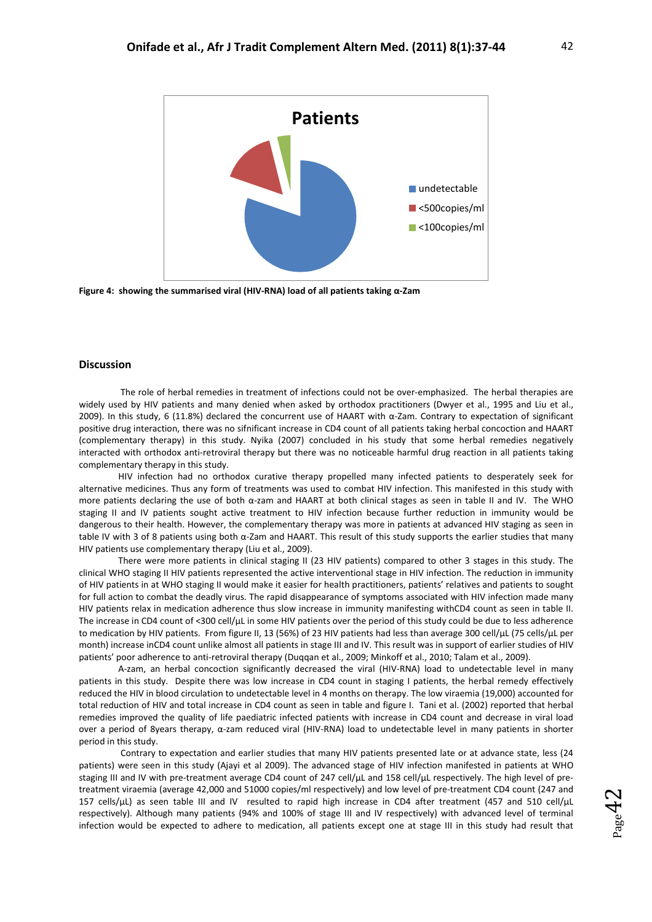

**Figure 4: showing the summarised viral (HIV-RNA) load of all patients taking α-Zam**

## **Discussion**

The role of herbal remedies in treatment of infections could not be over-emphasized. The herbal therapies are widely used by HIV patients and many denied when asked by orthodox practitioners (Dwyer et al., 1995 and Liu et al., 2009). In this study, 6 (11.8%) declared the concurrent use of HAART with α-Zam. Contrary to expectation of significant positive drug interaction, there was no sifnificant increase in CD4 count of all patients taking herbal concoction and HAART (complementary therapy) in this study. Nyika (2007) concluded in his study that some herbal remedies negatively interacted with orthodox anti-retroviral therapy but there was no noticeable harmful drug reaction in all patients taking complementary therapy in this study.

HIV infection had no orthodox curative therapy propelled many infected patients to desperately seek for alternative medicines. Thus any form of treatments was used to combat HIV infection. This manifested in this study with more patients declaring the use of both α-zam and HAART at both clinical stages as seen in table II and IV. The WHO staging II and IV patients sought active treatment to HIV infection because further reduction in immunity would be dangerous to their health. However, the complementary therapy was more in patients at advanced HIV staging as seen in table IV with 3 of 8 patients using both α-Zam and HAART. This result of this study supports the earlier studies that many HIV patients use complementary therapy (Liu et al., 2009).

There were more patients in clinical staging II (23 HIV patients) compared to other 3 stages in this study. The clinical WHO staging II HIV patients represented the active interventional stage in HIV infection. The reduction in immunity of HIV patients in at WHO staging II would make it easier for health practitioners, patients' relatives and patients to sought for full action to combat the deadly virus. The rapid disappearance of symptoms associated with HIV infection made many HIV patients relax in medication adherence thus slow increase in immunity manifesting withCD4 count as seen in table II. The increase in CD4 count of <300 cell/uL in some HIV patients over the period of this study could be due to less adherence to medication by HIV patients. From figure II, 13 (56%) of 23 HIV patients had less than average 300 cell/µL (75 cells/µL per month) increase inCD4 count unlike almost all patients in stage III and IV. This result was in support of earlier studies of HIV patients' poor adherence to anti-retroviral therapy (Duqqan et al., 2009; Minkoff et al., 2010; Talam et al., 2009).

A-zam, an herbal concoction significantly decreased the viral (HIV-RNA) load to undetectable level in many patients in this study. Despite there was low increase in CD4 count in staging I patients, the herbal remedy effectively reduced the HIV in blood circulation to undetectable level in 4 months on therapy. The low viraemia (19,000) accounted for total reduction of HIV and total increase in CD4 count as seen in table and figure I. Tani et al. (2002) reported that herbal remedies improved the quality of life paediatric infected patients with increase in CD4 count and decrease in viral load over a period of 8years therapy, α-zam reduced viral (HIV-RNA) load to undetectable level in many patients in shorter period in this study.

Contrary to expectation and earlier studies that many HIV patients presented late or at advance state, less (24 patients) were seen in this study (Ajayi et al 2009). The advanced stage of HIV infection manifested in patients at WHO staging III and IV with pre-treatment average CD4 count of 247 cell/µL and 158 cell/µL respectively. The high level of pretreatment viraemia (average 42,000 and 51000 copies/ml respectively) and low level of pre-treatment CD4 count (247 and 157 cells/µL) as seen table III and IV resulted to rapid high increase in CD4 after treatment (457 and 510 cell/µL respectively). Although many patients (94% and 100% of stage III and IV respectively) with advanced level of terminal infection would be expected to adhere to medication, all patients except one at stage III in this study had result that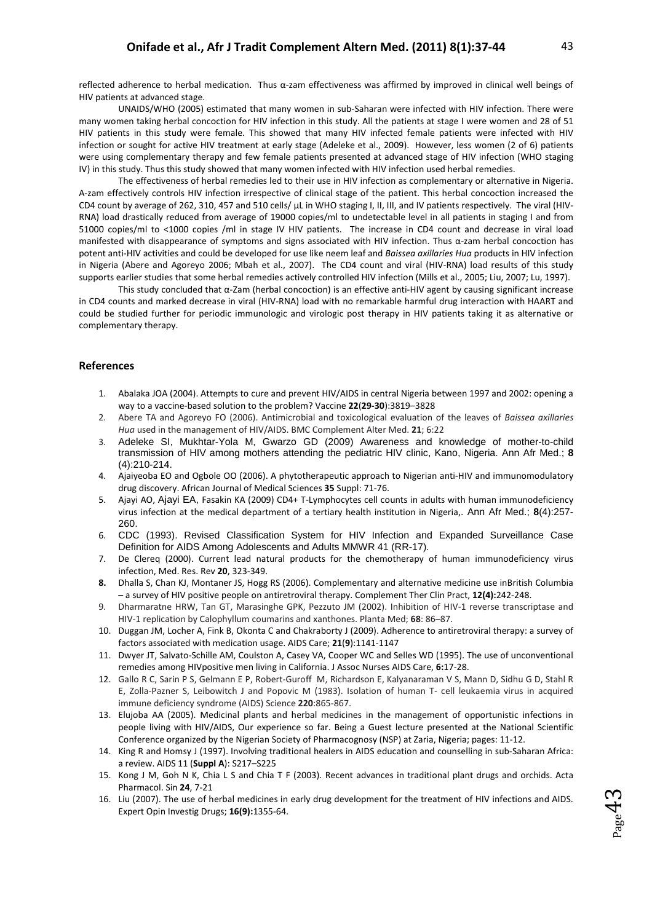$_{\rm Page}4$ 

ო

reflected adherence to herbal medication. Thus α-zam effectiveness was affirmed by improved in clinical well beings of HIV patients at advanced stage.

UNAIDS/WHO (2005) estimated that many women in sub-Saharan were infected with HIV infection. There were many women taking herbal concoction for HIV infection in this study. All the patients at stage I were women and 28 of 51 HIV patients in this study were female. This showed that many HIV infected female patients were infected with HIV infection or sought for active HIV treatment at early stage (Adeleke et al., 2009). However, less women (2 of 6) patients were using complementary therapy and few female patients presented at advanced stage of HIV infection (WHO staging IV) in this study. Thus this study showed that many women infected with HIV infection used herbal remedies.

The effectiveness of herbal remedies led to their use in HIV infection as complementary or alternative in Nigeria. A-zam effectively controls HIV infection irrespective of clinical stage of the patient. This herbal concoction increased the CD4 count by average of 262, 310, 457 and 510 cells/  $\mu$ L in WHO staging I, II, III, and IV patients respectively. The viral (HIV-RNA) load drastically reduced from average of 19000 copies/ml to undetectable level in all patients in staging I and from 51000 copies/ml to <1000 copies /ml in stage IV HIV patients. The increase in CD4 count and decrease in viral load manifested with disappearance of symptoms and signs associated with HIV infection. Thus α-zam herbal concoction has potent anti-HIV activities and could be developed for use like neem leaf and *Baissea axillaries Hua* products in HIV infection in Nigeria (Abere and Agoreyo 2006; Mbah et al., 2007). The CD4 count and viral (HIV-RNA) load results of this study supports earlier studies that some herbal remedies actively controlled HIV infection (Mills et al., 2005; Liu, 2007; Lu, 1997).

This study concluded that α-Zam (herbal concoction) is an effective anti-HIV agent by causing significant increase in CD4 counts and marked decrease in viral (HIV-RNA) load with no remarkable harmful drug interaction with HAART and could be studied further for periodic immunologic and virologic post therapy in HIV patients taking it as alternative or complementary therapy.

## **References**

- 1. Abalaka JOA (2004). Attempts to cure and prevent HIV/AIDS in central Nigeria between 1997 and 2002: opening a way to a vaccine-based solution to the problem? Vaccine **22**(**29-30**):3819–3828
- 2. Abere TA and Agoreyo FO (2006). Antimicrobial and toxicological evaluation of the leaves of *Baissea axillaries Hua* used in the management of HIV/AIDS. BMC Complement Alter Med. **21**; 6:22
- 3. Adeleke SI, Mukhtar-Yola M, Gwarzo GD (2009) Awareness and knowledge of mother-to-child transmission of HIV among mothers attending the pediatric HIV clinic, Kano, Nigeria. Ann Afr Med.; **8** (4):210-214.
- 4. Ajaiyeoba EO and Ogbole OO (2006). A phytotherapeutic approach to Nigerian anti-HIV and immunomodulatory drug discovery. African Journal of Medical Sciences **35** Suppl: 71-76.
- 5. Ajayi AO, Ajayi EA, Fasakin KA (2009) CD4+ T-Lymphocytes cell counts in adults with human immunodeficiency virus infection at the medical department of a tertiary health institution in Nigeria,. Ann Afr Med.; **8**(4):257- 260.
- 6. CDC (1993). Revised Classification System for HIV Infection and Expanded Surveillance Case Definition for AIDS Among Adolescents and Adults MMWR 41 (RR-17).
- 7. De Clereq (2000). Current lead natural products for the chemotherapy of human immunodeficiency virus infection, Med. Res. Rev **20**, 323-349.
- **8.** Dhalla S, Chan KJ, Montaner JS, Hogg RS (2006). Complementary and alternative medicine use inBritish Columbia – a survey of HIV positive people on antiretroviral therapy. Complement Ther Clin Pract, **12(4):**242-248.
- 9. Dharmaratne HRW, Tan GT, Marasinghe GPK, Pezzuto JM (2002). Inhibition of HIV-1 reverse transcriptase and HIV-1 replication by Calophyllum coumarins and xanthones. Planta Med; **68**: 86–87.
- 10. Duggan JM, Locher A, Fink B, Okonta C and Chakraborty J (2009). Adherence to antiretroviral therapy: a survey of factors associated with medication usage. AIDS Care; **21**(**9**):1141-1147
- 11. Dwyer JT, Salvato-Schille AM, Coulston A, Casey VA, Cooper WC and Selles WD (1995). The use of unconventional remedies among HIVpositive men living in California. J Assoc Nurses AIDS Care, **6:**17-28.
- 12. Gallo R C, Sarin P S, Gelmann E P, Robert-Guroff M, Richardson E, Kalyanaraman V S, Mann D, Sidhu G D, Stahl R E, Zolla-Pazner S, Leibowitch J and Popovic M (1983). Isolation of human T- cell leukaemia virus in acquired immune deficiency syndrome (AIDS) Science **220**:865-867.
- 13. Elujoba AA (2005). Medicinal plants and herbal medicines in the management of opportunistic infections in people living with HIV/AIDS, Our experience so far. Being a Guest lecture presented at the National Scientific Conference organized by the Nigerian Society of Pharmacognosy (NSP) at Zaria, Nigeria; pages: 11-12.
- 14. King R and Homsy J (1997). Involving traditional healers in AIDS education and counselling in sub-Saharan Africa: a review. AIDS 11 (**Suppl A**): S217–S225
- 15. Kong J M, Goh N K, Chia L S and Chia T F (2003). Recent advances in traditional plant drugs and orchids. Acta Pharmacol. Sin **24**, 7-21
- 16. Liu (2007). The use of herbal medicines in early drug development for the treatment of HIV infections and AIDS. Expert Opin Investig Drugs; **16(9):**1355-64.